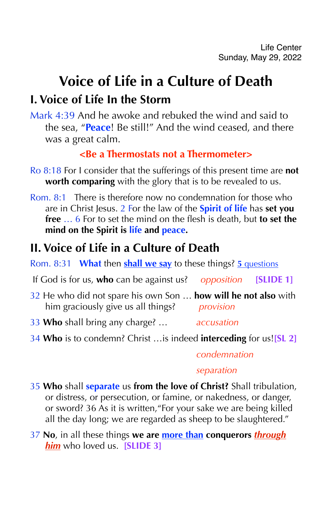# **Voice of Life in a Culture of Death I. Voice of Life In the Storm**

Mark 4:39 And he awoke and rebuked the wind and said to the sea, "**Peace**! Be still!" And the wind ceased, and there was a great calm.

### **<Be a Thermostats not a Thermometer>**

- Ro 8:18 For I consider that the sufferings of this present time are **not worth comparing** with the glory that is to be revealed to us.
- Rom. 8:1 There is therefore now no condemnation for those who are in Christ Jesus. 2 For the law of the **Spirit of life** has **set you free** … 6 For to set the mind on the flesh is death, but **to set the mind on the Spirit is life and peace.**

# **II. Voice of Life in a Culture of Death**

Rom. 8:31 **What** then **shall we say** to these things? **5** questions

- If God is for us, **who** can be against us? *opposition* **[SLIDE 1]**
- 32 He who did not spare his own Son … **how will he not also** with him graciously give us all things? *provision*
- 33 **Who** shall bring any charge? … *accusation*
- 34 **Who** is to condemn? Christ …is indeed **interceding** for us!**[SL 2]**

#### *condemnation*

#### *separation*

- 35 **Who** shall **separate** us **from the love of Christ?** Shall tribulation, or distress, or persecution, or famine, or nakedness, or danger, or sword? 36 As it is written,"For your sake we are being killed all the day long; we are regarded as sheep to be slaughtered."
- 37 **No**, in all these things **we are more than conquerors** *through him* who loved us. **[SLIDE 3]**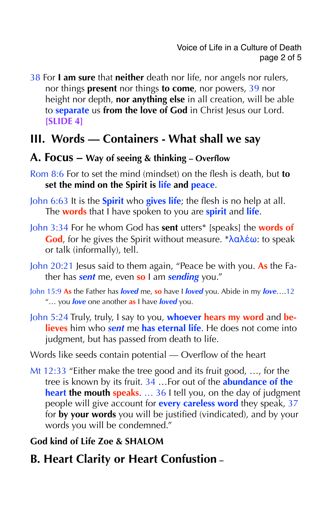38 For **I am sure** that **neither** death nor life, nor angels nor rulers, nor things **present** nor things **to come**, nor powers, 39 nor height nor depth, **nor anything else** in all creation, will be able to **separate** us **from the love of God** in Christ Jesus our Lord. **[SLIDE 4]**

# **III. Words — Containers - What shall we say**

#### **A. Focus – Way of seeing & thinking – Overflow**

- Rom 8:6 For to set the mind (mindset) on the flesh is death, but **to set the mind on the Spirit is life and peace**.
- John 6:63 It is the **Spirit** who **gives life**; the flesh is no help at all. The **words** that I have spoken to you are **spirit** and **life**.
- John 3:34 For he whom God has **sent** utters\* [speaks] the **words of God**, for he gives the Spirit without measure. \*λαλέω: to speak or talk (informally), tell.
- John 20:21 Jesus said to them again, "Peace be with you. **As** the Father has *sent* me, even **so** I am *sending* you."
- John 15:9 **As** the Father has *loved* me, **so** have I *loved* you. Abide in my *love*….12 "… you *love* one another **as** I have *loved* you.
- John 5:24 Truly, truly, I say to you, **whoever hears my word** and **believes** him who *sent* me **has eternal life**. He does not come into judgment, but has passed from death to life.
- Words like seeds contain potential Overflow of the heart
- Mt 12:33 "Either make the tree good and its fruit good, …, for the tree is known by its fruit. 34 …For out of the **abundance of the heart the mouth speaks**. … 36 I tell you, on the day of judgment people will give account for **every careless word** they speak, 37 for **by your words** you will be justified (vindicated), and by your words you will be condemned."

## **God kind of Life Zoe & SHALOM**

**B. Heart Clarity or Heart Confustion –**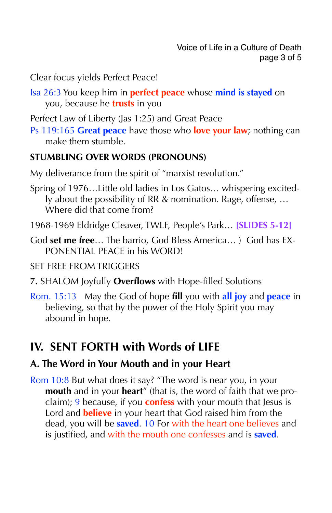Clear focus yields Perfect Peace!

Isa 26:3 You keep him in **perfect peace** whose **mind is stayed** on you, because he **trusts** in you

Perfect Law of Liberty (Jas 1:25) and Great Peace

Ps 119:165 **Great peace** have those who **love your law**; nothing can make them stumble.

#### **STUMBLING OVER WORDS (PRONOUNS)**

My deliverance from the spirit of "marxist revolution."

- Spring of 1976…Little old ladies in Los Gatos… whispering excitedly about the possibility of RR & nomination. Rage, offense, … Where did that come from?
- 1968-1969 Eldridge Cleaver, TWLF, People's Park… **[SLIDES 5-12]**
- God **set me free**… The barrio, God Bless America… ) God has EX-PONENTIAL PEACE in his WORD!

#### SET FREE FROM TRIGGERS

- **7.** SHALOM Joyfully **Overflows** with Hope-filled Solutions
- Rom. 15:13 May the God of hope **fill** you with **all joy** and **peace** in believing, so that by the power of the Holy Spirit you may abound in hope.

# **IV. SENT FORTH with Words of LIFE**

## **A. The Word in Your Mouth and in your Heart**

Rom 10:8 But what does it say? "The word is near you, in your **mouth** and in your **heart**" (that is, the word of faith that we proclaim); 9 because, if you **confess** with your mouth that Jesus is Lord and **believe** in your heart that God raised him from the dead, you will be **saved**. 10 For with the heart one believes and is justified, and with the mouth one confesses and is **saved**.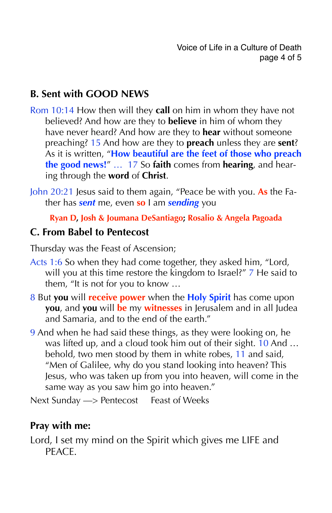## **B. Sent with GOOD NEWS**

- Rom 10:14 How then will they **call** on him in whom they have not believed? And how are they to **believe** in him of whom they have never heard? And how are they to **hear** without someone preaching? 15 And how are they to **preach** unless they are **sent**? As it is written, "**How beautiful are the feet of those who preach the good news!**" … 17 So **faith** comes from **hearing**, and hearing through the **word** of **Christ**.
- John 20:21 Jesus said to them again, "Peace be with you. **As** the Father has *sent* me, even **so** I am *sending* you

#### **Ryan D, Josh & Joumana DeSantiago; Rosalio & Angela Pagoada**

#### **C. From Babel to Pentecost**

Thursday was the Feast of Ascension;

- Acts 1:6 So when they had come together, they asked him, "Lord, will you at this time restore the kingdom to Israel?" 7 He said to them, "It is not for you to know …
- 8 But **you** will **receive power** when the **Holy Spirit** has come upon **you**, and **you** will **be** my **witnesses** in Jerusalem and in all Judea and Samaria, and to the end of the earth."
- 9 And when he had said these things, as they were looking on, he was lifted up, and a cloud took him out of their sight. 10 And … behold, two men stood by them in white robes, 11 and said, "Men of Galilee, why do you stand looking into heaven? This Jesus, who was taken up from you into heaven, will come in the same way as you saw him go into heaven."

Next Sunday  $\Longrightarrow$  Pentecost Feast of Weeks

#### **Pray with me:**

Lord, I set my mind on the Spirit which gives me LIFE and PEACE.